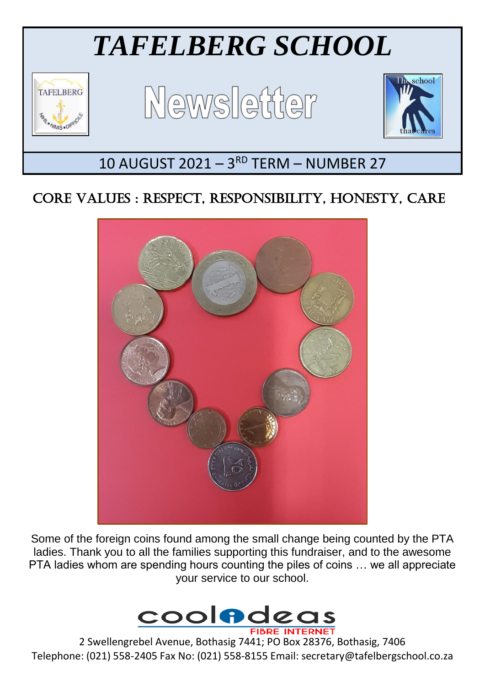

# CORE VALUES : RESPECT, RESPONSIBILITY, HONESTY, CARE



Some of the foreign coins found among the small change being counted by the PTA ladies. Thank you to all the families supporting this fundraiser, and to the awesome PTA ladies whom are spending hours counting the piles of coins … we all appreciate your service to our school.



2 Swellengrebel Avenue, Bothasig 7441; PO Box 28376, Bothasig, 7406 Telephone: (021) 558-2405 Fax No: (021) 558-8155 Email: secretary@tafelbergschool.co.za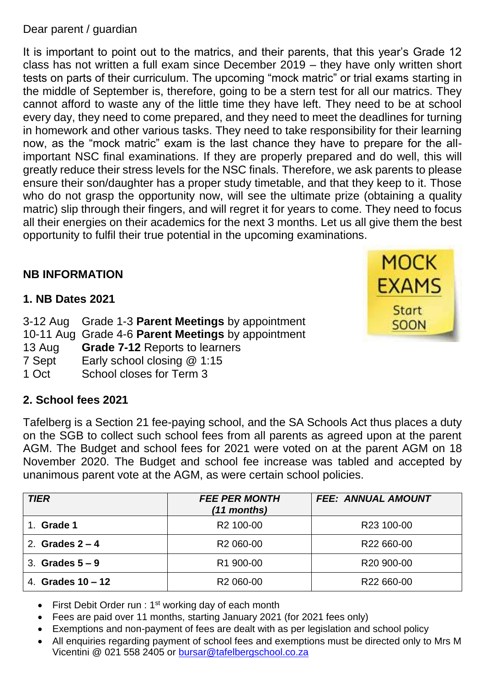#### Dear parent / guardian

It is important to point out to the matrics, and their parents, that this year's Grade 12 class has not written a full exam since December 2019 – they have only written short tests on parts of their curriculum. The upcoming "mock matric" or trial exams starting in the middle of September is, therefore, going to be a stern test for all our matrics. They cannot afford to waste any of the little time they have left. They need to be at school every day, they need to come prepared, and they need to meet the deadlines for turning in homework and other various tasks. They need to take responsibility for their learning now, as the "mock matric" exam is the last chance they have to prepare for the allimportant NSC final examinations. If they are properly prepared and do well, this will greatly reduce their stress levels for the NSC finals. Therefore, we ask parents to please ensure their son/daughter has a proper study timetable, and that they keep to it. Those who do not grasp the opportunity now, will see the ultimate prize (obtaining a quality matric) slip through their fingers, and will regret it for years to come. They need to focus all their energies on their academics for the next 3 months. Let us all give them the best opportunity to fulfil their true potential in the upcoming examinations.

## **NB INFORMATION**

#### **1. NB Dates 2021**

|        | 3-12 Aug Grade 1-3 <b>Parent Meetings</b> by appointment |
|--------|----------------------------------------------------------|
|        | 10-11 Aug Grade 4-6 Parent Meetings by appointment       |
| 13 Aug | <b>Grade 7-12 Reports to learners</b>                    |
| 7 Sept | Early school closing $@1:15$                             |
| 1 Oct  | School closes for Term 3                                 |
|        |                                                          |

## **2. School fees 2021**

Tafelberg is a Section 21 fee-paying school, and the SA Schools Act thus places a duty on the SGB to collect such school fees from all parents as agreed upon at the parent AGM. The Budget and school fees for 2021 were voted on at the parent AGM on 18 November 2020. The Budget and school fee increase was tabled and accepted by unanimous parent vote at the AGM, as were certain school policies.

| <b>TIER</b>         | <b>FEE PER MONTH</b><br>(11 months) | <b>FEE: ANNUAL AMOUNT</b> |
|---------------------|-------------------------------------|---------------------------|
| Grade 1<br>$1_{-}$  | R <sub>2</sub> 100-00               | R <sub>23</sub> 100-00    |
| 2. Grades $2 - 4$   | R <sub>2</sub> 060-00               | R22 660-00                |
| 3. Grades $5-9$     | R1 900-00                           | R <sub>20</sub> 900-00    |
| 4. Grades $10 - 12$ | R <sub>2</sub> 060-00               | R <sub>22</sub> 660-00    |

- First Debit Order run :  $1<sup>st</sup>$  working day of each month
- Fees are paid over 11 months, starting January 2021 (for 2021 fees only)
- Exemptions and non-payment of fees are dealt with as per legislation and school policy
- All enquiries regarding payment of school fees and exemptions must be directed only to Mrs M Vicentini @ 021 558 2405 or [bursar@tafelbergschool.co.za](mailto:bursar@tafelbergschool.co.za)

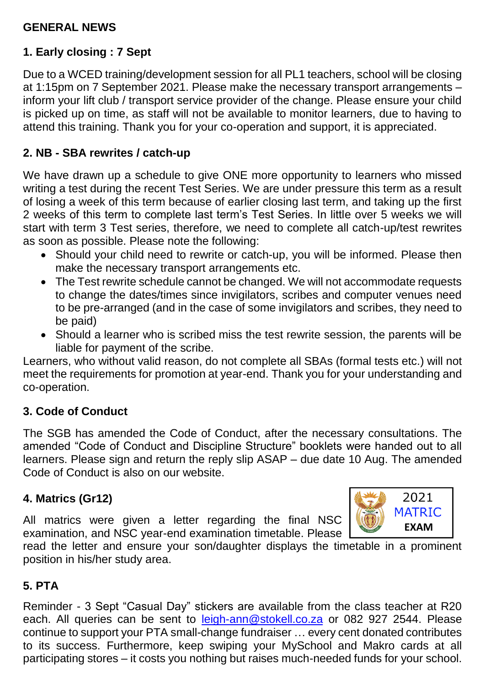## **GENERAL NEWS**

#### **1. Early closing : 7 Sept**

Due to a WCED training/development session for all PL1 teachers, school will be closing at 1:15pm on 7 September 2021. Please make the necessary transport arrangements – inform your lift club / transport service provider of the change. Please ensure your child is picked up on time, as staff will not be available to monitor learners, due to having to attend this training. Thank you for your co-operation and support, it is appreciated.

#### **2. NB - SBA rewrites / catch-up**

We have drawn up a schedule to give ONE more opportunity to learners who missed writing a test during the recent Test Series. We are under pressure this term as a result of losing a week of this term because of earlier closing last term, and taking up the first 2 weeks of this term to complete last term's Test Series. In little over 5 weeks we will start with term 3 Test series, therefore, we need to complete all catch-up/test rewrites as soon as possible. Please note the following:

- Should your child need to rewrite or catch-up, you will be informed. Please then make the necessary transport arrangements etc.
- The Test rewrite schedule cannot be changed. We will not accommodate requests to change the dates/times since invigilators, scribes and computer venues need to be pre-arranged (and in the case of some invigilators and scribes, they need to be paid)
- Should a learner who is scribed miss the test rewrite session, the parents will be liable for payment of the scribe.

Learners, who without valid reason, do not complete all SBAs (formal tests etc.) will not meet the requirements for promotion at year-end. Thank you for your understanding and co-operation.

## **3. Code of Conduct**

The SGB has amended the Code of Conduct, after the necessary consultations. The amended "Code of Conduct and Discipline Structure" booklets were handed out to all learners. Please sign and return the reply slip ASAP – due date 10 Aug. The amended Code of Conduct is also on our website.

#### **4. Matrics (Gr12)**

All matrics were given a letter regarding the final NSC examination, and NSC year-end examination timetable. Please



read the letter and ensure your son/daughter displays the timetable in a prominent position in his/her study area.

## **5. PTA**

Reminder - 3 Sept "Casual Day" stickers are available from the class teacher at R20 each. All queries can be sent to [leigh-ann@stokell.co.za](mailto:leigh-ann@stokell.co.za) or 082 927 2544. Please continue to support your PTA small-change fundraiser … every cent donated contributes to its success. Furthermore, keep swiping your MySchool and Makro cards at all participating stores – it costs you nothing but raises much-needed funds for your school.